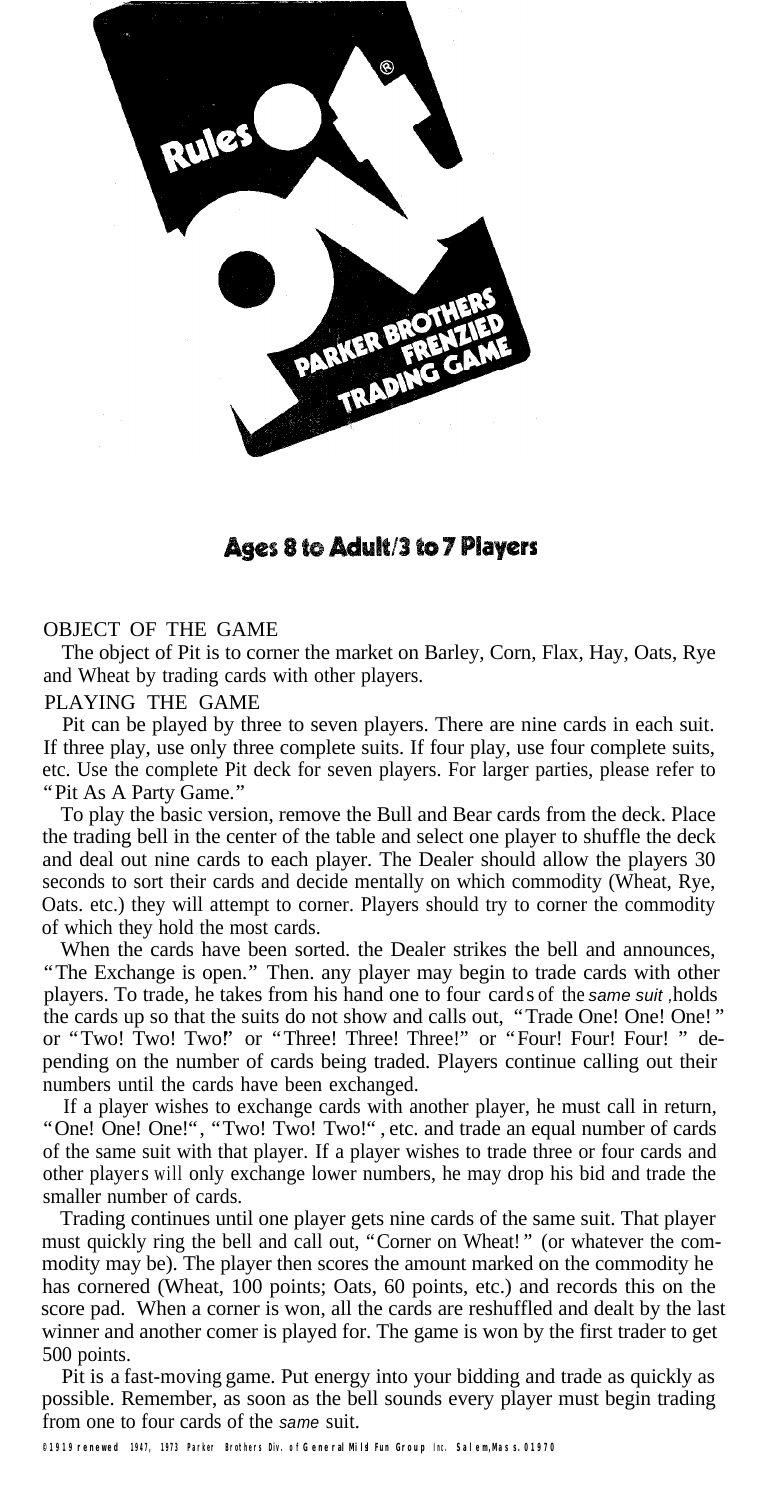

# Ages 8 to Adult/3 to 7 Players

# OBJECT OF THE GAME

The object of Pit is to corner the market on Barley, Corn, Flax, Hay, Oats, Rye and Wheat by trading cards with other players.

#### PLAYING THE GAME

Pit can be played by three to seven players. There are nine cards in each suit. If three play, use only three complete suits. If four play, use four complete suits, etc. Use the complete Pit deck for seven players. For larger parties, please refer to "Pit As A Party Game."

To play the basic version, remove the Bull and Bear cards from the deck. Place the trading bell in the center of the table and select one player to shuffle the deck and deal out nine cards to each player. The Dealer should allow the players 30 seconds to sort their cards and decide mentally on which commodity (Wheat, Rye, Oats. etc.) they will attempt to corner. Players should try to corner the commodity of which they hold the most cards.

When the cards have been sorted. the Dealer strikes the bell and announces, "The Exchange is open." Then. any player may begin to trade cards with other players. To trade, he takes from his hand one to four cards of the *same suit ,* holds the cards up so that the suits do not show and calls out, "Trade One! One! One!" or "Two! Two! Two!" or "Three! Three! Three!" or "Four! Four! Four! " depending on the number of cards being traded. Players continue calling out their numbers until the cards have been exchanged.

If a player wishes to exchange cards with another player, he must call in return, "One! One! One!", "Two! Two! Two!", etc. and trade an equal number of cards of the same suit with that player. If a player wishes to trade three or four cards and other players will only exchange lower numbers, he may drop his bid and trade the smaller number of cards.

Trading continues until one player gets nine cards of the same suit. That player must quickly ring the bell and call out, "Corner on Wheat! " (or whatever the commodity may be). The player then scores the amount marked on the commodity he has cornered (Wheat, 100 points; Oats, 60 points, etc.) and records this on the score pad. When a corner is won, all the cards are reshuffled and dealt by the last winner and another comer is played for. The game is won by the first trader to get 500 points.

Pit is a fast-moving game. Put energy into your bidding and trade as quickly as possible. Remember, as soon as the bell sounds every player must begin trading from one to four cards of the *same* suit.

**©1919 renewed 1947, 1973 Parker Brothers Div. o f G eneralMilsl Fun Group Inc. Salem,Mas s.01970**